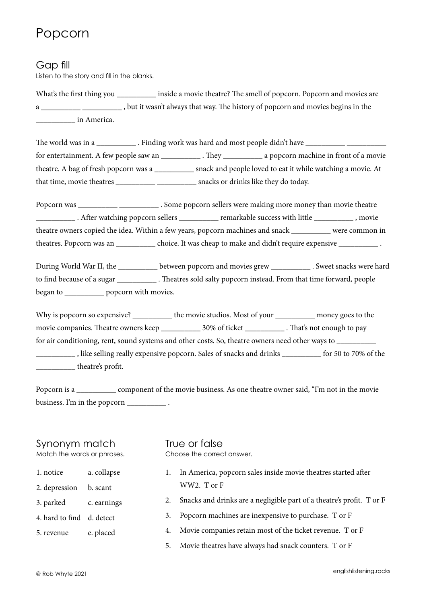## Popcorn

### Gap fill

Listen to the story and fill in the blanks.

What's the first thing you inside a movie theatre? The smell of popcorn. Popcorn and movies are a \_\_\_\_\_\_\_\_\_\_ \_\_\_\_\_\_\_\_\_\_ , but it wasn't always that way. The history of popcorn and movies begins in the \_\_\_\_\_\_\_\_\_\_ in America.

The world was in a \_\_\_\_\_\_\_\_\_\_\_\_\_\_. Finding work was hard and most people didn't have \_\_\_\_\_\_\_\_\_\_\_\_\_\_ for entertainment. A few people saw an \_\_\_\_\_\_\_\_\_\_ . They \_\_\_\_\_\_\_\_\_\_ a popcorn machine in front of a movie theatre. A bag of fresh popcorn was a \_\_\_\_\_\_\_\_\_\_ snack and people loved to eat it while watching a movie. At that time, movie theatres \_\_\_\_\_\_\_\_\_\_ \_\_\_\_\_\_\_\_\_\_ snacks or drinks like they do today.

Popcorn was \_\_\_\_\_\_\_\_\_\_\_\_\_\_\_\_\_\_\_\_\_. Some popcorn sellers were making more money than movie theatre \_\_\_\_\_\_\_\_\_\_ . After watching popcorn sellers \_\_\_\_\_\_\_\_\_\_ remarkable success with little \_\_\_\_\_\_\_\_\_\_ , movie theatre owners copied the idea. Within a few years, popcorn machines and snack \_\_\_\_\_\_\_\_\_\_ were common in theatres. Popcorn was an \_\_\_\_\_\_\_\_\_\_\_\_ choice. It was cheap to make and didn't require expensive \_\_\_\_\_\_\_\_\_\_\_\_\_.

During World War II, the \_\_\_\_\_\_\_\_\_ between popcorn and movies grew \_\_\_\_\_\_\_\_\_\_\_\_. Sweet snacks were hard to find because of a sugar . Theatres sold salty popcorn instead. From that time forward, people began to \_\_\_\_\_\_\_\_\_\_\_\_ popcorn with movies.

Why is popcorn so expensive? <br>the movie studios. Most of your money goes to the movie companies. Theatre owners keep 20% of ticket That's not enough to pay for air conditioning, rent, sound systems and other costs. So, theatre owners need other ways to \_\_\_\_\_\_\_\_\_\_ \_\_\_\_\_\_\_\_\_\_ , like selling really expensive popcorn. Sales of snacks and drinks \_\_\_\_\_\_\_\_\_\_ for 50 to 70% of the \_\_\_\_\_\_\_\_\_\_ theatre's profit.

Popcorn is a component of the movie business. As one theatre owner said, "I'm not in the movie business. I'm in the popcorn \_\_\_\_\_\_\_\_\_\_\_\_\_\_.

## Synonym match

Match the words or phrases.

1. notice a. collapse

- 2. depression b. scant
- 3. parked c. earnings
- 4. hard to find d. detect
- 5. revenue e. placed

#### True or false Choose the correct answer.

- 1. In America, popcorn sales inside movie theatres started after WW2. T or F
- 2. Snacks and drinks are a negligible part of a theatre's profit. T or F
- 3. Popcorn machines are inexpensive to purchase. T or F
- 4. Movie companies retain most of the ticket revenue. T or F
- 5. Movie theatres have always had snack counters. T or F